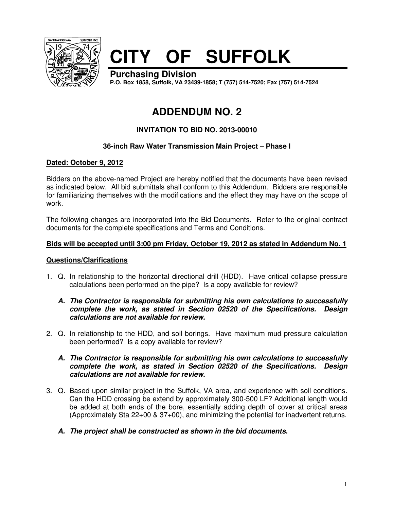

# **CITY OF SUFFOLK**

**Purchasing Division P.O. Box 1858, Suffolk, VA 23439-1858; T (757) 514-7520; Fax (757) 514-7524**

# **ADDENDUM NO. 2**

# **INVITATION TO BID NO. 2013-00010**

# **36-inch Raw Water Transmission Main Project – Phase I**

# **Dated: October 9, 2012**

Bidders on the above-named Project are hereby notified that the documents have been revised as indicated below. All bid submittals shall conform to this Addendum. Bidders are responsible for familiarizing themselves with the modifications and the effect they may have on the scope of work.

The following changes are incorporated into the Bid Documents. Refer to the original contract documents for the complete specifications and Terms and Conditions.

#### **Bids will be accepted until 3:00 pm Friday, October 19, 2012 as stated in Addendum No. 1**

#### **Questions/Clarifications**

1. Q. In relationship to the horizontal directional drill (HDD). Have critical collapse pressure calculations been performed on the pipe? Is a copy available for review?

#### **A. The Contractor is responsible for submitting his own calculations to successfully complete the work, as stated in Section 02520 of the Specifications. Design calculations are not available for review.**

2. Q. In relationship to the HDD, and soil borings. Have maximum mud pressure calculation been performed? Is a copy available for review?

#### **A. The Contractor is responsible for submitting his own calculations to successfully complete the work, as stated in Section 02520 of the Specifications. Design calculations are not available for review.**

- 3. Q. Based upon similar project in the Suffolk, VA area, and experience with soil conditions. Can the HDD crossing be extend by approximately 300-500 LF? Additional length would be added at both ends of the bore, essentially adding depth of cover at critical areas (Approximately Sta 22+00 & 37+00), and minimizing the potential for inadvertent returns.
	- **A. The project shall be constructed as shown in the bid documents.**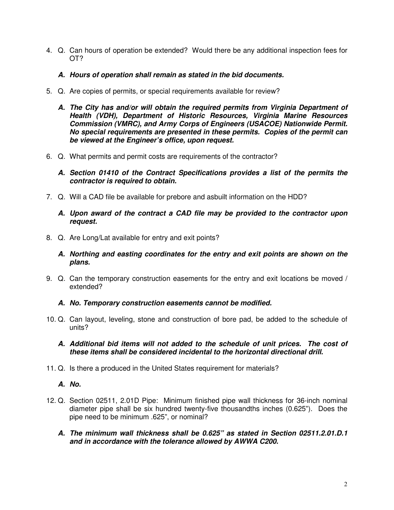- 4. Q. Can hours of operation be extended? Would there be any additional inspection fees for OT?
	- **A. Hours of operation shall remain as stated in the bid documents.**
- 5. Q. Are copies of permits, or special requirements available for review?
	- **A. The City has and/or will obtain the required permits from Virginia Department of Health (VDH), Department of Historic Resources, Virginia Marine Resources Commission (VMRC), and Army Corps of Engineers (USACOE) Nationwide Permit. No special requirements are presented in these permits. Copies of the permit can be viewed at the Engineer's office, upon request.**
- 6. Q. What permits and permit costs are requirements of the contractor?
	- **A. Section 01410 of the Contract Specifications provides a list of the permits the contractor is required to obtain.**
- 7. Q. Will a CAD file be available for prebore and asbuilt information on the HDD?
	- **A. Upon award of the contract a CAD file may be provided to the contractor upon request.**
- 8. Q. Are Long/Lat available for entry and exit points?
	- **A. Northing and easting coordinates for the entry and exit points are shown on the plans.**
- 9. Q. Can the temporary construction easements for the entry and exit locations be moved / extended?
	- **A. No. Temporary construction easements cannot be modified.**
- 10. Q. Can layout, leveling, stone and construction of bore pad, be added to the schedule of units?
	- **A. Additional bid items will not added to the schedule of unit prices. The cost of these items shall be considered incidental to the horizontal directional drill.**
- 11. Q. Is there a produced in the United States requirement for materials?
	- **A. No.**
- 12. Q. Section 02511, 2.01D Pipe: Minimum finished pipe wall thickness for 36-inch nominal diameter pipe shall be six hundred twenty-five thousandths inches (0.625"). Does the pipe need to be minimum .625", or nominal?
	- **A. The minimum wall thickness shall be 0.625" as stated in Section 02511.2.01.D.1 and in accordance with the tolerance allowed by AWWA C200.**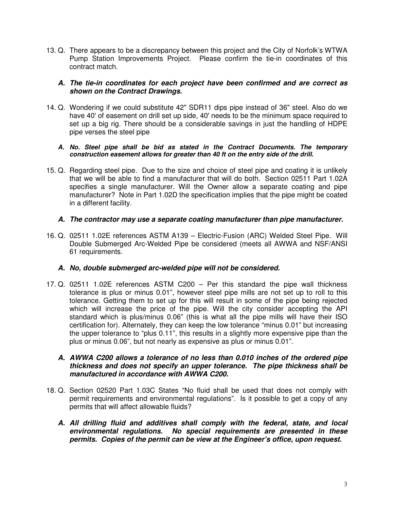13. Q. There appears to be a discrepancy between this project and the City of Norfolk's WTWA Pump Station Improvements Project. Please confirm the tie-in coordinates of this contract match.

#### **A. The tie-in coordinates for each project have been confirmed and are correct as shown on the Contract Drawings.**

14. Q. Wondering if we could substitute 42" SDR11 dips pipe instead of 36" steel. Also do we have 40' of easement on drill set up side, 40' needs to be the minimum space required to set up a big rig. There should be a considerable savings in just the handling of HDPE pipe verses the steel pipe

#### **A. No. Steel pipe shall be bid as stated in the Contract Documents. The temporary construction easement allows for greater than 40 ft on the entry side of the drill.**

15. Q. Regarding steel pipe. Due to the size and choice of steel pipe and coating it is unlikely that we will be able to find a manufacturer that will do both. Section 02511 Part 1.02A specifies a single manufacturer. Will the Owner allow a separate coating and pipe manufacturer? Note in Part 1.02D the specification implies that the pipe might be coated in a different facility.

#### **A. The contractor may use a separate coating manufacturer than pipe manufacturer.**

16. Q. 02511 1.02E references ASTM A139 – Electric-Fusion (ARC) Welded Steel Pipe. Will Double Submerged Arc-Welded Pipe be considered (meets all AWWA and NSF/ANSI 61 requirements.

### **A. No, double submerged arc-welded pipe will not be considered.**

17. Q. 02511 1.02E references ASTM C200 – Per this standard the pipe wall thickness tolerance is plus or minus 0.01", however steel pipe mills are not set up to roll to this tolerance. Getting them to set up for this will result in some of the pipe being rejected which will increase the price of the pipe. Will the city consider accepting the API standard which is plus/minus 0.06" (this is what all the pipe mills will have their ISO certification for). Alternately, they can keep the low tolerance "minus 0.01" but increasing the upper tolerance to "plus 0.11", this results in a slightly more expensive pipe than the plus or minus 0.06", but not nearly as expensive as plus or minus 0.01".

#### **A. AWWA C200 allows a tolerance of no less than 0.010 inches of the ordered pipe thickness and does not specify an upper tolerance. The pipe thickness shall be manufactured in accordance with AWWA C200.**

- 18. Q. Section 02520 Part 1.03C States "No fluid shall be used that does not comply with permit requirements and environmental regulations". Is it possible to get a copy of any permits that will affect allowable fluids?
	- **A. All drilling fluid and additives shall comply with the federal, state, and local environmental regulations. No special requirements are presented in these permits. Copies of the permit can be view at the Engineer's office, upon request.**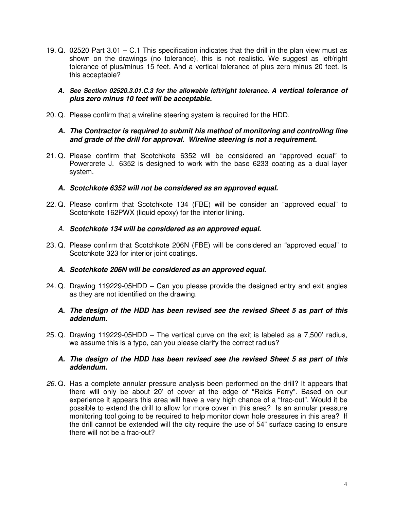- 19. Q. 02520 Part 3.01 C.1 This specification indicates that the drill in the plan view must as shown on the drawings (no tolerance), this is not realistic. We suggest as left/right tolerance of plus/minus 15 feet. And a vertical tolerance of plus zero minus 20 feet. Is this acceptable?
	- **A. See Section 02520.3.01.C.3 for the allowable left/right tolerance. A vertical tolerance of plus zero minus 10 feet will be acceptable.**
- 20. Q. Please confirm that a wireline steering system is required for the HDD.

#### **A. The Contractor is required to submit his method of monitoring and controlling line and grade of the drill for approval. Wireline steering is not a requirement.**

- 21. Q. Please confirm that Scotchkote 6352 will be considered an "approved equal" to Powercrete J. 6352 is designed to work with the base 6233 coating as a dual layer system.
	- **A. Scotchkote 6352 will not be considered as an approved equal.**
- 22. Q. Please confirm that Scotchkote 134 (FBE) will be consider an "approved equal" to Scotchkote 162PWX (liquid epoxy) for the interior lining.
	- A. **Scotchkote 134 will be considered as an approved equal.**
- 23. Q. Please confirm that Scotchkote 206N (FBE) will be considered an "approved equal" to Scotchkote 323 for interior joint coatings.

#### **A. Scotchkote 206N will be considered as an approved equal.**

24. Q. Drawing 119229-05HDD – Can you please provide the designed entry and exit angles as they are not identified on the drawing.

#### **A. The design of the HDD has been revised see the revised Sheet 5 as part of this addendum.**

25. Q. Drawing 119229-05HDD – The vertical curve on the exit is labeled as a 7,500' radius, we assume this is a typo, can you please clarify the correct radius?

#### **A. The design of the HDD has been revised see the revised Sheet 5 as part of this addendum.**

26. Q. Has a complete annular pressure analysis been performed on the drill? It appears that there will only be about 20' of cover at the edge of "Reids Ferry". Based on our experience it appears this area will have a very high chance of a "frac-out". Would it be possible to extend the drill to allow for more cover in this area? Is an annular pressure monitoring tool going to be required to help monitor down hole pressures in this area? If the drill cannot be extended will the city require the use of 54" surface casing to ensure there will not be a frac-out?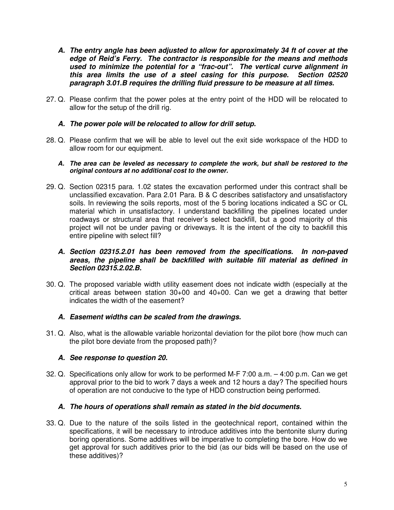- **A. The entry angle has been adjusted to allow for approximately 34 ft of cover at the edge of Reid's Ferry. The contractor is responsible for the means and methods used to minimize the potential for a "frac-out". The vertical curve alignment in this area limits the use of a steel casing for this purpose. Section 02520 paragraph 3.01.B requires the drilling fluid pressure to be measure at all times.**
- 27. Q. Please confirm that the power poles at the entry point of the HDD will be relocated to allow for the setup of the drill rig.

#### **A. The power pole will be relocated to allow for drill setup.**

- 28. Q. Please confirm that we will be able to level out the exit side workspace of the HDD to allow room for our equipment.
	- **A. The area can be leveled as necessary to complete the work, but shall be restored to the original contours at no additional cost to the owner.**
- 29. Q. Section 02315 para. 1.02 states the excavation performed under this contract shall be unclassified excavation. Para 2.01 Para. B & C describes satisfactory and unsatisfactory soils. In reviewing the soils reports, most of the 5 boring locations indicated a SC or CL material which in unsatisfactory. I understand backfilling the pipelines located under roadways or structural area that receiver's select backfill, but a good majority of this project will not be under paving or driveways. It is the intent of the city to backfill this entire pipeline with select fill?

#### **A. Section 02315.2.01 has been removed from the specifications. In non-paved areas, the pipeline shall be backfilled with suitable fill material as defined in Section 02315.2.02.B.**

30. Q. The proposed variable width utility easement does not indicate width (especially at the critical areas between station 30+00 and 40+00. Can we get a drawing that better indicates the width of the easement?

#### **A. Easement widths can be scaled from the drawings.**

31. Q. Also, what is the allowable variable horizontal deviation for the pilot bore (how much can the pilot bore deviate from the proposed path)?

#### **A. See response to question 20.**

32. Q. Specifications only allow for work to be performed M-F 7:00 a.m. – 4:00 p.m. Can we get approval prior to the bid to work 7 days a week and 12 hours a day? The specified hours of operation are not conducive to the type of HDD construction being performed.

#### **A. The hours of operations shall remain as stated in the bid documents.**

33. Q. Due to the nature of the soils listed in the geotechnical report, contained within the specifications, it will be necessary to introduce additives into the bentonite slurry during boring operations. Some additives will be imperative to completing the bore. How do we get approval for such additives prior to the bid (as our bids will be based on the use of these additives)?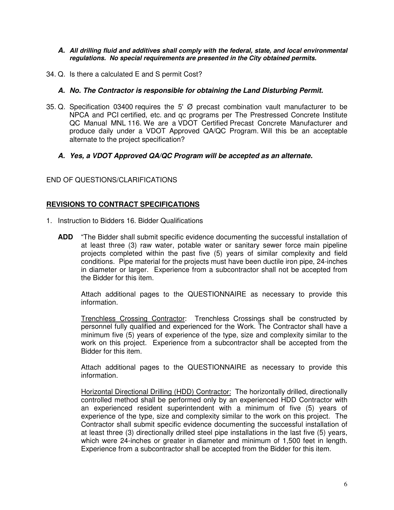#### **A. All drilling fluid and additives shall comply with the federal, state, and local environmental regulations. No special requirements are presented in the City obtained permits.**

34. Q. Is there a calculated E and S permit Cost?

#### **A. No. The Contractor is responsible for obtaining the Land Disturbing Permit.**

35. Q. Specification 03400 requires the 5' Ø precast combination vault manufacturer to be NPCA and PCI certified, etc. and qc programs per The Prestressed Concrete Institute QC Manual MNL 116. We are a VDOT Certified Precast Concrete Manufacturer and produce daily under a VDOT Approved QA/QC Program. Will this be an acceptable alternate to the project specification?

#### **A. Yes, a VDOT Approved QA/QC Program will be accepted as an alternate.**

END OF QUESTIONS/CLARIFICATIONS

#### **REVISIONS TO CONTRACT SPECIFICATIONS**

- 1. Instruction to Bidders 16. Bidder Qualifications
	- **ADD** "The Bidder shall submit specific evidence documenting the successful installation of at least three (3) raw water, potable water or sanitary sewer force main pipeline projects completed within the past five (5) years of similar complexity and field conditions. Pipe material for the projects must have been ductile iron pipe, 24-inches in diameter or larger. Experience from a subcontractor shall not be accepted from the Bidder for this item.

Attach additional pages to the QUESTIONNAIRE as necessary to provide this information.

Trenchless Crossing Contractor: Trenchless Crossings shall be constructed by personnel fully qualified and experienced for the Work. The Contractor shall have a minimum five (5) years of experience of the type, size and complexity similar to the work on this project. Experience from a subcontractor shall be accepted from the Bidder for this item.

Attach additional pages to the QUESTIONNAIRE as necessary to provide this information.

Horizontal Directional Drilling (HDD) Contractor: The horizontally drilled, directionally controlled method shall be performed only by an experienced HDD Contractor with an experienced resident superintendent with a minimum of five (5) years of experience of the type, size and complexity similar to the work on this project. The Contractor shall submit specific evidence documenting the successful installation of at least three (3) directionally drilled steel pipe installations in the last five (5) years, which were 24-inches or greater in diameter and minimum of 1,500 feet in length. Experience from a subcontractor shall be accepted from the Bidder for this item.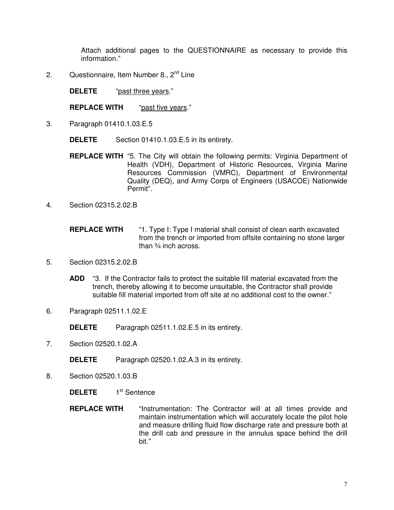Attach additional pages to the QUESTIONNAIRE as necessary to provide this information."

2. Questionnaire, Item Number 8., 2<sup>nd</sup> Line

**DELETE** "past three years."

**REPLACE WITH** "past five years."

3. Paragraph 01410.1.03.E.5

 **DELETE** Section 01410.1.03.E.5 in its entirety.

- **REPLACE WITH** "5. The City will obtain the following permits: Virginia Department of Health (VDH), Department of Historic Resources, Virginia Marine Resources Commission (VMRC), Department of Environmental Quality (DEQ), and Army Corps of Engineers (USACOE) Nationwide Permit".
- 4. Section 02315.2.02.B

**REPLACE WITH** "1. Type I: Type I material shall consist of clean earth excavated from the trench or imported from offsite containing no stone larger than ¾ inch across.

- 5. Section 02315.2.02.B
	- **ADD** "3. If the Contractor fails to protect the suitable fill material excavated from the trench, thereby allowing it to become unsuitable, the Contractor shall provide suitable fill material imported from off site at no additional cost to the owner."
- 6. Paragraph 02511.1.02.E

 **DELETE** Paragraph 02511.1.02.E.5 in its entirety.

7. Section 02520.1.02.A

 **DELETE** Paragraph 02520.1.02.A.3 in its entirety.

- 8. Section 02520.1.03.B
	- **DELETE** 1<sup>st</sup> Sentence
	- **REPLACE WITH** "Instrumentation: The Contractor will at all times provide and maintain instrumentation which will accurately locate the pilot hole and measure drilling fluid flow discharge rate and pressure both at the drill cab and pressure in the annulus space behind the drill bit."